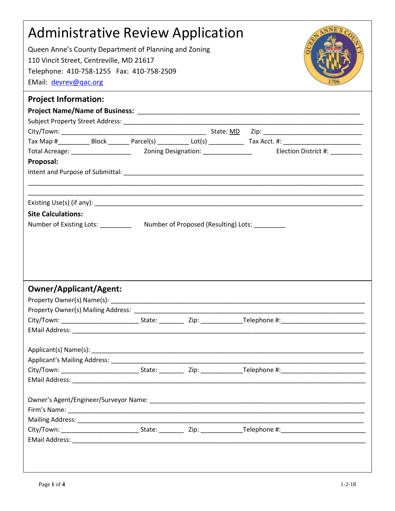| <b>Administrative Review Application</b>                                          |  |  |  |  |
|-----------------------------------------------------------------------------------|--|--|--|--|
| Queen Anne's County Department of Planning and Zoning                             |  |  |  |  |
| 110 Vincit Street, Centreville, MD 21617                                          |  |  |  |  |
| Telephone: 410-758-1255 Fax: 410-758-2509                                         |  |  |  |  |
| EMail: devrev@qac.org                                                             |  |  |  |  |
| <b>Project Information:</b>                                                       |  |  |  |  |
|                                                                                   |  |  |  |  |
|                                                                                   |  |  |  |  |
|                                                                                   |  |  |  |  |
|                                                                                   |  |  |  |  |
|                                                                                   |  |  |  |  |
| Proposal:                                                                         |  |  |  |  |
|                                                                                   |  |  |  |  |
|                                                                                   |  |  |  |  |
|                                                                                   |  |  |  |  |
| <b>Site Calculations:</b>                                                         |  |  |  |  |
| Number of Existing Lots: ___________ Number of Proposed (Resulting) Lots: _______ |  |  |  |  |
|                                                                                   |  |  |  |  |
|                                                                                   |  |  |  |  |
|                                                                                   |  |  |  |  |
|                                                                                   |  |  |  |  |
|                                                                                   |  |  |  |  |
| <b>Owner/Applicant/Agent:</b>                                                     |  |  |  |  |
|                                                                                   |  |  |  |  |
|                                                                                   |  |  |  |  |
|                                                                                   |  |  |  |  |
|                                                                                   |  |  |  |  |
|                                                                                   |  |  |  |  |
|                                                                                   |  |  |  |  |
|                                                                                   |  |  |  |  |
|                                                                                   |  |  |  |  |
|                                                                                   |  |  |  |  |
|                                                                                   |  |  |  |  |
|                                                                                   |  |  |  |  |
|                                                                                   |  |  |  |  |
|                                                                                   |  |  |  |  |
|                                                                                   |  |  |  |  |
|                                                                                   |  |  |  |  |
|                                                                                   |  |  |  |  |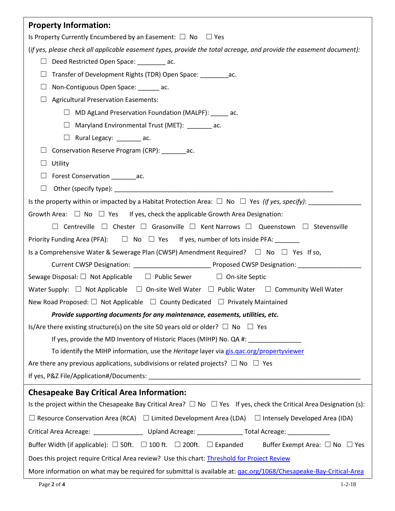| <b>Property Information:</b>                                                                                                     |  |  |  |  |
|----------------------------------------------------------------------------------------------------------------------------------|--|--|--|--|
| Is Property Currently Encumbered by an Easement: $\Box$ No $\Box$ Yes                                                            |  |  |  |  |
| (if yes, please check all applicable easement types, provide the total acreage, and provide the easement document):              |  |  |  |  |
| Deed Restricted Open Space: _________ ac.                                                                                        |  |  |  |  |
| Transfer of Development Rights (TDR) Open Space: ____________ac.<br>$\Box$                                                       |  |  |  |  |
| $\Box$<br>Non-Contiguous Open Space: _______ ac.                                                                                 |  |  |  |  |
| <b>Agricultural Preservation Easements:</b>                                                                                      |  |  |  |  |
| $\Box$ MD AgLand Preservation Foundation (MALPF): _____ ac.                                                                      |  |  |  |  |
| □ Maryland Environmental Trust (MET): _______ ac.                                                                                |  |  |  |  |
| $\Box$ Rural Legacy: ________ ac.                                                                                                |  |  |  |  |
| Conservation Reserve Program (CRP): ac.                                                                                          |  |  |  |  |
| Utility<br>$\Box$                                                                                                                |  |  |  |  |
| Forest Conservation ___________ac.                                                                                               |  |  |  |  |
| $\Box$                                                                                                                           |  |  |  |  |
|                                                                                                                                  |  |  |  |  |
| Growth Area: $\Box$ No $\Box$ Yes If yes, check the applicable Growth Area Designation:                                          |  |  |  |  |
| $\Box$ Centreville $\Box$ Chester $\Box$ Grasonville $\Box$ Kent Narrows $\Box$ Queenstown $\Box$ Stevensville                   |  |  |  |  |
| Priority Funding Area (PFA): $\square$ No $\square$ Yes If yes, number of lots inside PFA: _______                               |  |  |  |  |
| Is a Comprehensive Water & Sewerage Plan (CWSP) Amendment Required? $\square$ No $\square$ Yes If so,                            |  |  |  |  |
|                                                                                                                                  |  |  |  |  |
| Sewage Disposal: $\Box$ Not Applicable $\Box$ Public Sewer $\Box$ On-site Septic                                                 |  |  |  |  |
| Water Supply: $\Box$ Not Applicable $\Box$ On-site Well Water $\Box$ Public Water $\Box$ Community Well Water                    |  |  |  |  |
| New Road Proposed: $\Box$ Not Applicable $\Box$ County Dedicated $\Box$ Privately Maintained                                     |  |  |  |  |
| Provide supporting documents for any maintenance, easements, utilities, etc.                                                     |  |  |  |  |
| Is/Are there existing structure(s) on the site 50 years old or older? $\square$ No $\square$ Yes                                 |  |  |  |  |
| If yes, provide the MD Inventory of Historic Places (MIHP) No. QA #: ____________                                                |  |  |  |  |
| To identify the MIHP information, use the Heritage layer via gis.gac.org/propertyviewer                                          |  |  |  |  |
| Are there any previous applications, subdivisions or related projects? $\Box$ No $\Box$ Yes                                      |  |  |  |  |
|                                                                                                                                  |  |  |  |  |
| <b>Chesapeake Bay Critical Area Information:</b>                                                                                 |  |  |  |  |
| Is the project within the Chesapeake Bay Critical Area? $\Box$ No $\Box$ Yes If yes, check the Critical Area Designation (s):    |  |  |  |  |
| $\Box$ Resource Conservation Area (RCA) $\Box$ Limited Development Area (LDA) $\Box$ Intensely Developed Area (IDA)              |  |  |  |  |
| Critical Area Acreage: _________________________ Upland Acreage: ________________ Total Acreage: _____________                   |  |  |  |  |
| Buffer Width (if applicable): $\Box$ 50ft. $\Box$ 100 ft. $\Box$ 200ft. $\Box$ Expanded Buffer Exempt Area: $\Box$ No $\Box$ Yes |  |  |  |  |
| Does this project require Critical Area review? Use this chart: <i>Threshold for Project Review</i>                              |  |  |  |  |
| More information on what may be required for submittal is available at: gac.org/1068/Chesapeake-Bay-Critical-Area                |  |  |  |  |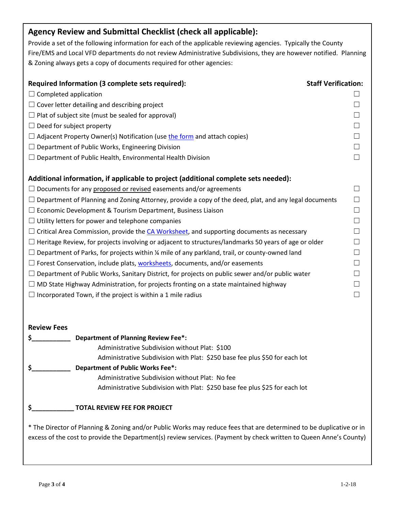## **Agency Review and Submittal Checklist (check all applicable):**

Provide a set of the following information for each of the applicable reviewing agencies. Typically the County Fire/EMS and Local VFD departments do not review Administrative Subdivisions, they are however notified. Planning & Zoning always gets a copy of documents required for other agencies:

| Required Information (3 complete sets required):                                                             | <b>Staff Verification:</b> |
|--------------------------------------------------------------------------------------------------------------|----------------------------|
| $\Box$ Completed application                                                                                 |                            |
| $\Box$ Cover letter detailing and describing project                                                         |                            |
| $\Box$ Plat of subject site (must be sealed for approval)                                                    |                            |
| $\Box$ Deed for subject property                                                                             |                            |
| $\Box$ Adjacent Property Owner(s) Notification (use the form and attach copies)                              |                            |
| $\Box$ Department of Public Works, Engineering Division                                                      |                            |
| $\Box$ Department of Public Health, Environmental Health Division                                            |                            |
|                                                                                                              |                            |
| Additional information, if applicable to project (additional complete sets needed):                          |                            |
| $\Box$ Documents for any proposed or revised easements and/or agreements                                     |                            |
| $\Box$ Department of Planning and Zoning Attorney, provide a copy of the deed, plat, and any legal documents |                            |
| $\Box$ Economic Development & Tourism Department, Business Liaison                                           |                            |
| $\Box$ Utility letters for power and telephone companies                                                     |                            |
| $\Box$ Critical Area Commission, provide the CA Worksheet, and supporting documents as necessary             |                            |
| $\Box$ Heritage Review, for projects involving or adjacent to structures/landmarks 50 years of age or older  |                            |
| $\Box$ Department of Parks, for projects within % mile of any parkland, trail, or county-owned land          |                            |
| $\Box$ Forest Conservation, include plats, worksheets, documents, and/or easements                           |                            |
| $\Box$ Department of Public Works, Sanitary District, for projects on public sewer and/or public water       |                            |
| $\Box$ MD State Highway Administration, for projects fronting on a state maintained highway                  |                            |
| $\Box$ Incorporated Town, if the project is within a 1 mile radius                                           |                            |

## **Review Fees**

| <b>Department of Planning Review Fee*:</b>                                                                    |
|---------------------------------------------------------------------------------------------------------------|
| Administrative Subdivision without Plat: \$100                                                                |
| Administrative Subdivision with Plat: \$250 base fee plus \$50 for each lot                                   |
| <b>Department of Public Works Fee*:</b>                                                                       |
| Administrative Subdivision without Plat: No fee                                                               |
| Administrative Subdivision with Plat: \$250 base fee plus \$25 for each lot                                   |
| <b>TOTAL REVIEW FEE FOR PROJECT</b>                                                                           |
| * The Director of Planning & Zoning and/or Public Works may reduce fees that are determined to be duplicative |

\* The Director of Planning & Zoning and/or Public Works may reduce fees that are determined to be duplicative or in excess of the cost to provide the Department(s) review services. (Payment by check written to Queen Anne's County)